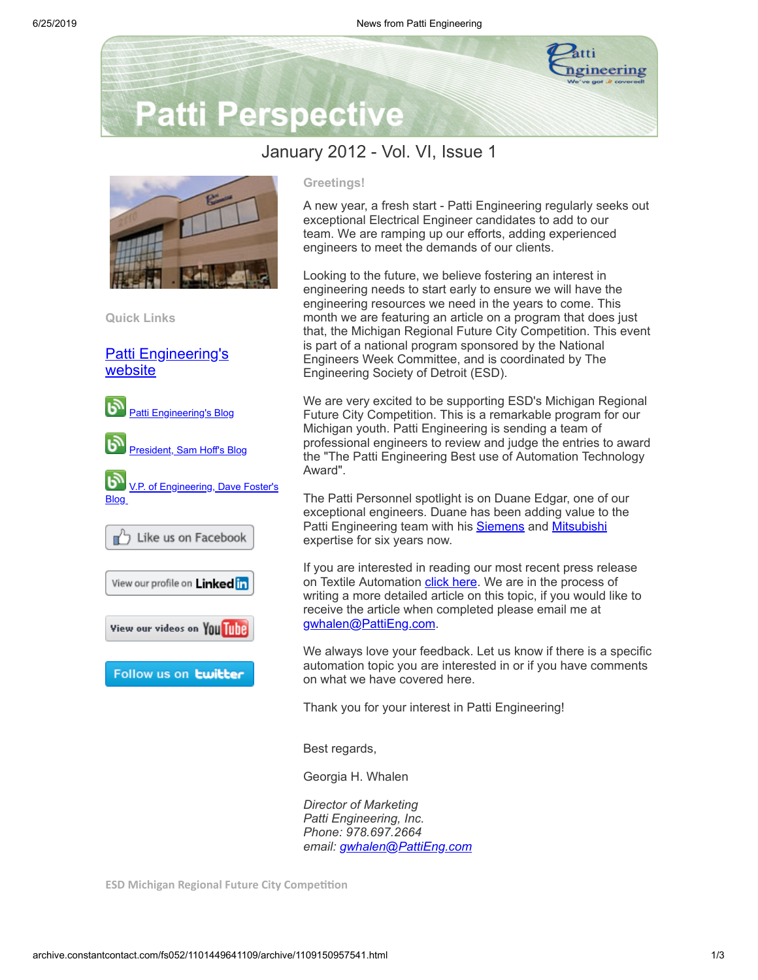

## **Patti Perspective**

## January 2012 - Vol. VI, Issue 1



**Quick Links**

[Patti Engineering's](http://www.pattieng.com/?utm_source=Patti+Perspective+1_2012&utm_campaign=Patti+Perspective+Newsletter&utm_medium=archive) website



## **Greetings!**

A new year, a fresh start - Patti Engineering regularly seeks out exceptional Electrical Engineer candidates to add to our team. We are ramping up our efforts, adding experienced engineers to meet the demands of our clients.

Looking to the future, we believe fostering an interest in engineering needs to start early to ensure we will have the engineering resources we need in the years to come. This month we are featuring an article on a program that does just that, the Michigan Regional Future City Competition. This event is part of a national program sponsored by the National Engineers Week Committee, and is coordinated by The Engineering Society of Detroit (ESD).

We are very excited to be supporting ESD's Michigan Regional Future City Competition. This is a remarkable program for our Michigan youth. Patti Engineering is sending a team of professional engineers to review and judge the entries to award the "The Patti Engineering Best use of Automation Technology Award".

The Patti Personnel spotlight is on Duane Edgar, one of our exceptional engineers. Duane has been adding value to the Patti Engineering team with his **[Siemens](http://www.pattieng.com/siemens-integrator.html?utm_source=Patti+Perspective+1_2012&utm_campaign=Patti+Perspective+Newsletter&utm_medium=archive)** and **[Mitsubishi](http://www.pattieng.com/partners-seimens-steeplechase-mitsubishi/mitsubishi-integrator.html?utm_source=Patti+Perspective+1_2012&utm_campaign=Patti+Perspective+Newsletter&utm_medium=archive)** expertise for six years now.

If you are interested in reading our most recent press release on Textile Automation [click](http://www.pattieng.com/blog/patti-engineering-provides-textile-automation-technology-to-inman-mills-manufacturing-facility/?utm_source=Patti+Perspective+1_2012&utm_campaign=Patti+Perspective+Newsletter&utm_medium=archive) here. We are in the process of writing a more detailed article on this topic, if you would like to receive the article when completed please email me at [gwhalen@PattiEng.com.](mailto:gwhalen@PattiEng.com)

We always love your feedback. Let us know if there is a specific automation topic you are interested in or if you have comments on what we have covered here.

Thank you for your interest in Patti Engineering!

Best regards,

Georgia H. Whalen

*Director of Marketing Patti Engineering, Inc. Phone: 978.697.2664 email: [gwhalen@PattiEng.com](mailto:gwhalen@PattiEng.com)*

**ESD** Michigan Regional Future City Competition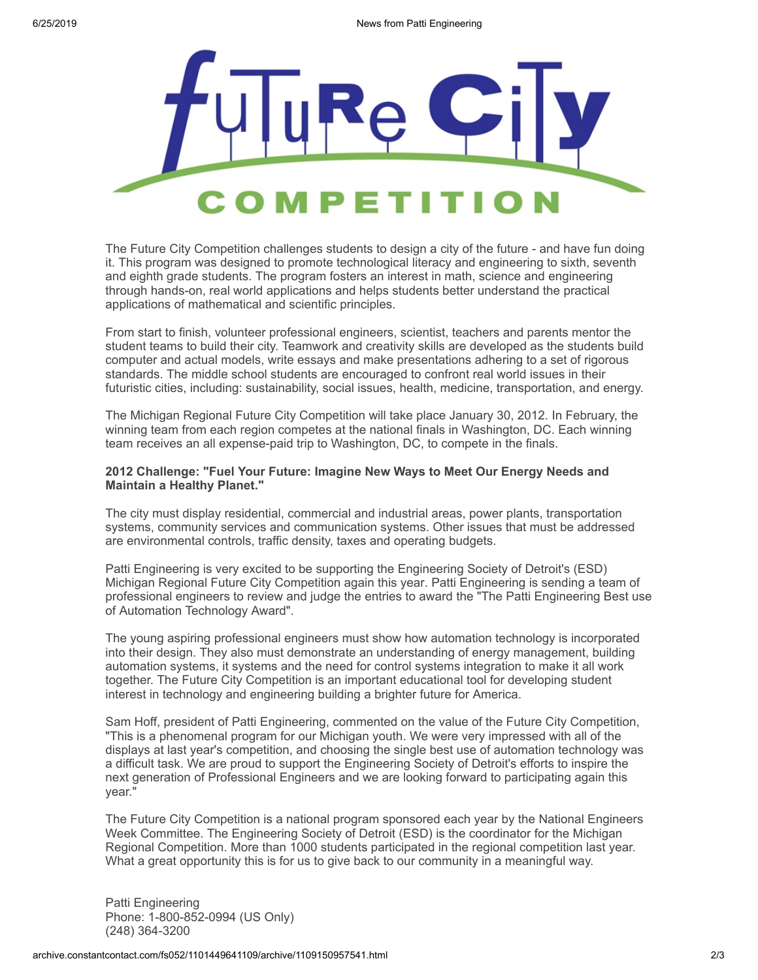

The Future City Competition challenges students to design a city of the future - and have fun doing it. This program was designed to promote technological literacy and engineering to sixth, seventh and eighth grade students. The program fosters an interest in math, science and engineering through hands-on, real world applications and helps students better understand the practical applications of mathematical and scientific principles.

From start to finish, volunteer professional engineers, scientist, teachers and parents mentor the student teams to build their city. Teamwork and creativity skills are developed as the students build computer and actual models, write essays and make presentations adhering to a set of rigorous standards. The middle school students are encouraged to confront real world issues in their futuristic cities, including: sustainability, social issues, health, medicine, transportation, and energy.

The Michigan Regional Future City Competition will take place January 30, 2012. In February, the winning team from each region competes at the national finals in Washington, DC. Each winning team receives an all expense-paid trip to Washington, DC, to compete in the finals.

## **2012 Challenge: "Fuel Your Future: Imagine New Ways to Meet Our Energy Needs and Maintain a Healthy Planet."**

The city must display residential, commercial and industrial areas, power plants, transportation systems, community services and communication systems. Other issues that must be addressed are environmental controls, traffic density, taxes and operating budgets.

Patti Engineering is very excited to be supporting the Engineering Society of Detroit's (ESD) Michigan Regional Future City Competition again this year. Patti Engineering is sending a team of professional engineers to review and judge the entries to award the "The Patti Engineering Best use of Automation Technology Award".

The young aspiring professional engineers must show how automation technology is incorporated into their design. They also must demonstrate an understanding of energy management, building automation systems, it systems and the need for control systems integration to make it all work together. The Future City Competition is an important educational tool for developing student interest in technology and engineering building a brighter future for America.

Sam Hoff, president of Patti Engineering, commented on the value of the Future City Competition, "This is a phenomenal program for our Michigan youth. We were very impressed with all of the displays at last year's competition, and choosing the single best use of automation technology was a difficult task. We are proud to support the Engineering Society of Detroit's efforts to inspire the next generation of Professional Engineers and we are looking forward to participating again this year."

The Future City Competition is a national program sponsored each year by the National Engineers Week Committee. The Engineering Society of Detroit (ESD) is the coordinator for the Michigan Regional Competition. More than 1000 students participated in the regional competition last year. What a great opportunity this is for us to give back to our community in a meaningful way.

Patti Engineering Phone: 1-800-852-0994 (US Only) (248) 364-3200